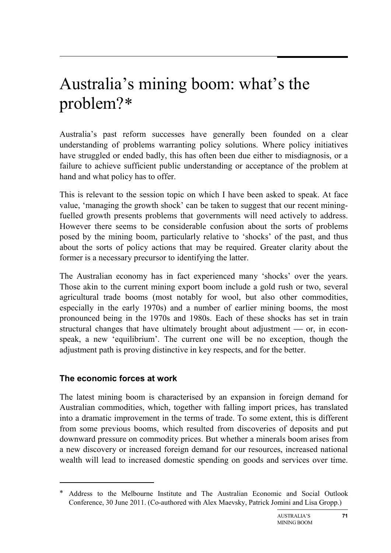# Australia's mining boom: what's the problem?[∗](#page-0-0)

Australia's past reform successes have generally been founded on a clear understanding of problems warranting policy solutions. Where policy initiatives have struggled or ended badly, this has often been due either to misdiagnosis, or a failure to achieve sufficient public understanding or acceptance of the problem at hand and what policy has to offer.

This is relevant to the session topic on which I have been asked to speak. At face value, 'managing the growth shock' can be taken to suggest that our recent miningfuelled growth presents problems that governments will need actively to address. However there seems to be considerable confusion about the sorts of problems posed by the mining boom, particularly relative to 'shocks' of the past, and thus about the sorts of policy actions that may be required. Greater clarity about the former is a necessary precursor to identifying the latter.

The Australian economy has in fact experienced many 'shocks' over the years. Those akin to the current mining export boom include a gold rush or two, several agricultural trade booms (most notably for wool, but also other commodities, especially in the early 1970s) and a number of earlier mining booms, the most pronounced being in the 1970s and 1980s. Each of these shocks has set in train structural changes that have ultimately brought about adjustment  $\sim$  or, in econspeak, a new 'equilibrium'. The current one will be no exception, though the adjustment path is proving distinctive in key respects, and for the better.

## **The economic forces at work**

-

The latest mining boom is characterised by an expansion in foreign demand for Australian commodities, which, together with falling import prices, has translated into a dramatic improvement in the terms of trade. To some extent, this is different from some previous booms, which resulted from discoveries of deposits and put downward pressure on commodity prices. But whether a minerals boom arises from a new discovery or increased foreign demand for our resources, increased national wealth will lead to increased domestic spending on goods and services over time.

<span id="page-0-0"></span>Address to the Melbourne Institute and The Australian Economic and Social Outlook Conference, 30 June 2011. (Co-authored with Alex Maevsky, Patrick Jomini and Lisa Gropp.)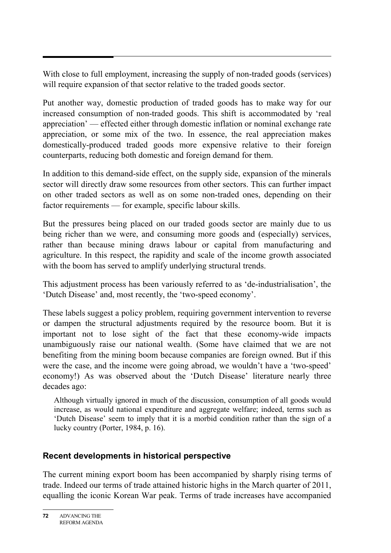With close to full employment, increasing the supply of non-traded goods (services) will require expansion of that sector relative to the traded goods sector.

Put another way, domestic production of traded goods has to make way for our increased consumption of non-traded goods. This shift is accommodated by 'real appreciation' — effected either through domestic inflation or nominal exchange rate appreciation, or some mix of the two. In essence, the real appreciation makes domestically-produced traded goods more expensive relative to their foreign counterparts, reducing both domestic and foreign demand for them.

In addition to this demand-side effect, on the supply side, expansion of the minerals sector will directly draw some resources from other sectors. This can further impact on other traded sectors as well as on some non-traded ones, depending on their factor requirements — for example, specific labour skills.

But the pressures being placed on our traded goods sector are mainly due to us being richer than we were, and consuming more goods and (especially) services, rather than because mining draws labour or capital from manufacturing and agriculture. In this respect, the rapidity and scale of the income growth associated with the boom has served to amplify underlying structural trends.

This adjustment process has been variously referred to as 'de-industrialisation', the 'Dutch Disease' and, most recently, the 'two-speed economy'.

These labels suggest a policy problem, requiring government intervention to reverse or dampen the structural adjustments required by the resource boom. But it is important not to lose sight of the fact that these economy-wide impacts unambiguously raise our national wealth. (Some have claimed that we are not benefiting from the mining boom because companies are foreign owned. But if this were the case, and the income were going abroad, we wouldn't have a 'two-speed' economy!) As was observed about the 'Dutch Disease' literature nearly three decades ago:

Although virtually ignored in much of the discussion, consumption of all goods would increase, as would national expenditure and aggregate welfare; indeed, terms such as 'Dutch Disease' seem to imply that it is a morbid condition rather than the sign of a lucky country (Porter, 1984, p. 16).

# **Recent developments in historical perspective**

The current mining export boom has been accompanied by sharply rising terms of trade. Indeed our terms of trade attained historic highs in the March quarter of 2011, equalling the iconic Korean War peak. Terms of trade increases have accompanied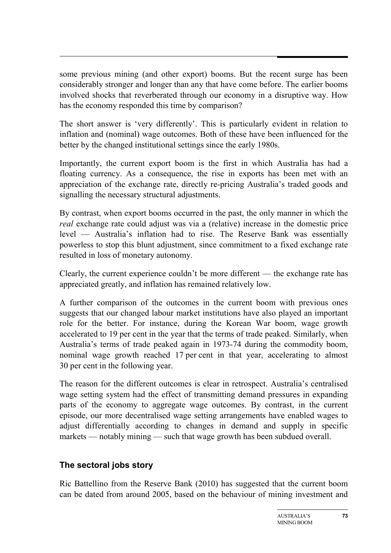some previous mining (and other export) booms. But the recent surge has been considerably stronger and longer than any that have come before. The earlier booms involved shocks that reverberated through our economy in a disruptive way. How has the economy responded this time by comparison?

The short answer is 'very differently'. This is particularly evident in relation to inflation and (nominal) wage outcomes. Both of these have been influenced for the better by the changed institutional settings since the early 1980s.

Importantly, the current export boom is the first in which Australia has had a floating currency. As a consequence, the rise in exports has been met with an appreciation of the exchange rate, directly re-pricing Australia's traded goods and signalling the necessary structural adjustments.

By contrast, when export booms occurred in the past, the only manner in which the *real* exchange rate could adjust was via a (relative) increase in the domestic price level — Australia's inflation had to rise. The Reserve Bank was essentially powerless to stop this blunt adjustment, since commitment to a fixed exchange rate resulted in loss of monetary autonomy.

Clearly, the current experience couldn't be more different — the exchange rate has appreciated greatly, and inflation has remained relatively low.

A further comparison of the outcomes in the current boom with previous ones suggests that our changed labour market institutions have also played an important role for the better. For instance, during the Korean War boom, wage growth accelerated to 19 per cent in the year that the terms of trade peaked. Similarly, when Australia's terms of trade peaked again in 1973-74 during the commodity boom, nominal wage growth reached 17 per cent in that year, accelerating to almost 30 per cent in the following year.

The reason for the different outcomes is clear in retrospect. Australia's centralised wage setting system had the effect of transmitting demand pressures in expanding parts of the economy to aggregate wage outcomes. By contrast, in the current episode, our more decentralised wage setting arrangements have enabled wages to adjust differentially according to changes in demand and supply in specific markets — notably mining — such that wage growth has been subdued overall.

## **The sectoral jobs story**

Ric Battellino from the Reserve Bank (2010) has suggested that the current boom can be dated from around 2005, based on the behaviour of mining investment and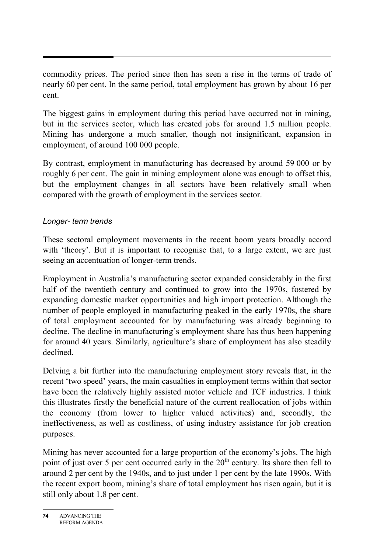commodity prices. The period since then has seen a rise in the terms of trade of nearly 60 per cent. In the same period, total employment has grown by about 16 per cent.

The biggest gains in employment during this period have occurred not in mining, but in the services sector, which has created jobs for around 1.5 million people. Mining has undergone a much smaller, though not insignificant, expansion in employment, of around 100 000 people.

By contrast, employment in manufacturing has decreased by around 59 000 or by roughly 6 per cent. The gain in mining employment alone was enough to offset this, but the employment changes in all sectors have been relatively small when compared with the growth of employment in the services sector.

## *Longer- term trends*

These sectoral employment movements in the recent boom years broadly accord with 'theory'. But it is important to recognise that, to a large extent, we are just seeing an accentuation of longer-term trends.

Employment in Australia's manufacturing sector expanded considerably in the first half of the twentieth century and continued to grow into the 1970s, fostered by expanding domestic market opportunities and high import protection. Although the number of people employed in manufacturing peaked in the early 1970s, the share of total employment accounted for by manufacturing was already beginning to decline. The decline in manufacturing's employment share has thus been happening for around 40 years. Similarly, agriculture's share of employment has also steadily declined.

Delving a bit further into the manufacturing employment story reveals that, in the recent 'two speed' years, the main casualties in employment terms within that sector have been the relatively highly assisted motor vehicle and TCF industries. I think this illustrates firstly the beneficial nature of the current reallocation of jobs within the economy (from lower to higher valued activities) and, secondly, the ineffectiveness, as well as costliness, of using industry assistance for job creation purposes.

Mining has never accounted for a large proportion of the economy's jobs. The high point of just over 5 per cent occurred early in the  $20<sup>th</sup>$  century. Its share then fell to around 2 per cent by the 1940s, and to just under 1 per cent by the late 1990s. With the recent export boom, mining's share of total employment has risen again, but it is still only about 1.8 per cent.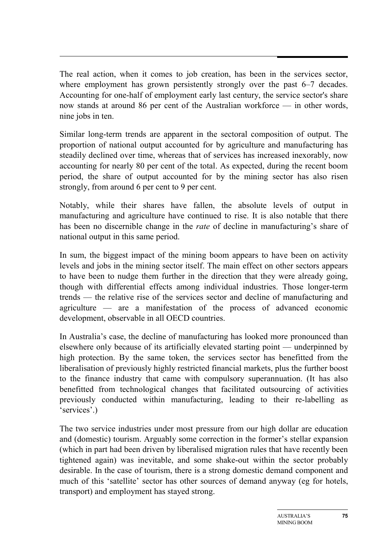The real action, when it comes to job creation, has been in the services sector, where employment has grown persistently strongly over the past 6–7 decades. Accounting for one-half of employment early last century, the service sector's share now stands at around 86 per cent of the Australian workforce — in other words, nine jobs in ten.

Similar long-term trends are apparent in the sectoral composition of output. The proportion of national output accounted for by agriculture and manufacturing has steadily declined over time, whereas that of services has increased inexorably, now accounting for nearly 80 per cent of the total. As expected, during the recent boom period, the share of output accounted for by the mining sector has also risen strongly, from around 6 per cent to 9 per cent.

Notably, while their shares have fallen, the absolute levels of output in manufacturing and agriculture have continued to rise. It is also notable that there has been no discernible change in the *rate* of decline in manufacturing's share of national output in this same period.

In sum, the biggest impact of the mining boom appears to have been on activity levels and jobs in the mining sector itself. The main effect on other sectors appears to have been to nudge them further in the direction that they were already going, though with differential effects among individual industries. Those longer-term trends — the relative rise of the services sector and decline of manufacturing and agriculture — are a manifestation of the process of advanced economic development, observable in all OECD countries.

In Australia's case, the decline of manufacturing has looked more pronounced than elsewhere only because of its artificially elevated starting point — underpinned by high protection. By the same token, the services sector has benefitted from the liberalisation of previously highly restricted financial markets, plus the further boost to the finance industry that came with compulsory superannuation. (It has also benefitted from technological changes that facilitated outsourcing of activities previously conducted within manufacturing, leading to their re-labelling as 'services'.)

The two service industries under most pressure from our high dollar are education and (domestic) tourism. Arguably some correction in the former's stellar expansion (which in part had been driven by liberalised migration rules that have recently been tightened again) was inevitable, and some shake-out within the sector probably desirable. In the case of tourism, there is a strong domestic demand component and much of this 'satellite' sector has other sources of demand anyway (eg for hotels, transport) and employment has stayed strong.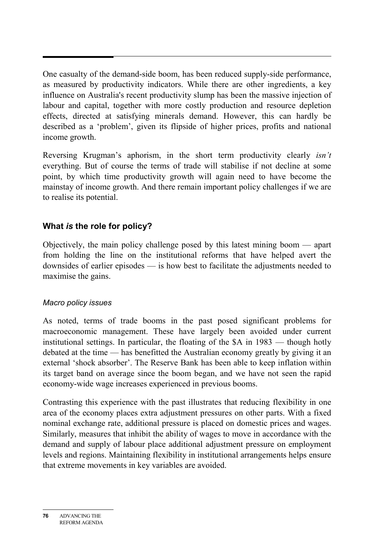One casualty of the demand-side boom, has been reduced supply-side performance, as measured by productivity indicators. While there are other ingredients, a key influence on Australia's recent productivity slump has been the massive injection of labour and capital, together with more costly production and resource depletion effects, directed at satisfying minerals demand. However, this can hardly be described as a 'problem', given its flipside of higher prices, profits and national income growth.

Reversing Krugman's aphorism, in the short term productivity clearly *isn't* everything. But of course the terms of trade will stabilise if not decline at some point, by which time productivity growth will again need to have become the mainstay of income growth. And there remain important policy challenges if we are to realise its potential.

# **What** *is* **the role for policy?**

Objectively, the main policy challenge posed by this latest mining boom — apart from holding the line on the institutional reforms that have helped avert the downsides of earlier episodes — is how best to facilitate the adjustments needed to maximise the gains.

#### *Macro policy issues*

As noted, terms of trade booms in the past posed significant problems for macroeconomic management. These have largely been avoided under current institutional settings. In particular, the floating of the \$A in 1983 — though hotly debated at the time — has benefitted the Australian economy greatly by giving it an external 'shock absorber'. The Reserve Bank has been able to keep inflation within its target band on average since the boom began, and we have not seen the rapid economy-wide wage increases experienced in previous booms.

Contrasting this experience with the past illustrates that reducing flexibility in one area of the economy places extra adjustment pressures on other parts. With a fixed nominal exchange rate, additional pressure is placed on domestic prices and wages. Similarly, measures that inhibit the ability of wages to move in accordance with the demand and supply of labour place additional adjustment pressure on employment levels and regions. Maintaining flexibility in institutional arrangements helps ensure that extreme movements in key variables are avoided.

**<sup>76</sup>** ADVANCING THE REFORM AGENDA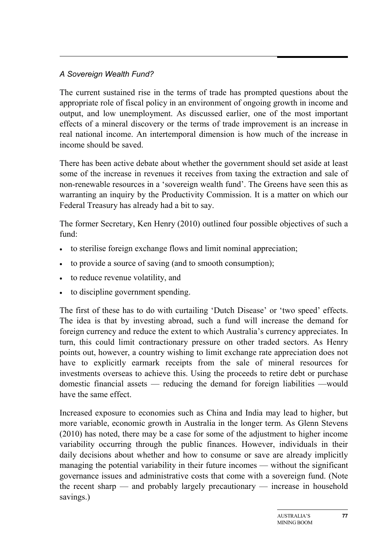## *A Sovereign Wealth Fund?*

The current sustained rise in the terms of trade has prompted questions about the appropriate role of fiscal policy in an environment of ongoing growth in income and output, and low unemployment. As discussed earlier, one of the most important effects of a mineral discovery or the terms of trade improvement is an increase in real national income. An intertemporal dimension is how much of the increase in income should be saved.

There has been active debate about whether the government should set aside at least some of the increase in revenues it receives from taxing the extraction and sale of non-renewable resources in a 'sovereign wealth fund'. The Greens have seen this as warranting an inquiry by the Productivity Commission. It is a matter on which our Federal Treasury has already had a bit to say.

The former Secretary, Ken Henry (2010) outlined four possible objectives of such a fund:

- to sterilise foreign exchange flows and limit nominal appreciation;
- to provide a source of saving (and to smooth consumption);
- to reduce revenue volatility, and
- to discipline government spending.

The first of these has to do with curtailing 'Dutch Disease' or 'two speed' effects. The idea is that by investing abroad, such a fund will increase the demand for foreign currency and reduce the extent to which Australia's currency appreciates. In turn, this could limit contractionary pressure on other traded sectors. As Henry points out, however, a country wishing to limit exchange rate appreciation does not have to explicitly earmark receipts from the sale of mineral resources for investments overseas to achieve this. Using the proceeds to retire debt or purchase domestic financial assets — reducing the demand for foreign liabilities —would have the same effect.

Increased exposure to economies such as China and India may lead to higher, but more variable, economic growth in Australia in the longer term. As Glenn Stevens (2010) has noted, there may be a case for some of the adjustment to higher income variability occurring through the public finances. However, individuals in their daily decisions about whether and how to consume or save are already implicitly managing the potential variability in their future incomes — without the significant governance issues and administrative costs that come with a sovereign fund. (Note the recent sharp — and probably largely precautionary — increase in household savings.)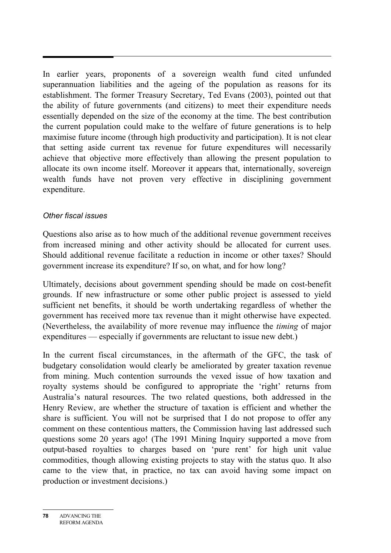In earlier years, proponents of a sovereign wealth fund cited unfunded superannuation liabilities and the ageing of the population as reasons for its establishment. The former Treasury Secretary, Ted Evans (2003), pointed out that the ability of future governments (and citizens) to meet their expenditure needs essentially depended on the size of the economy at the time. The best contribution the current population could make to the welfare of future generations is to help maximise future income (through high productivity and participation). It is not clear that setting aside current tax revenue for future expenditures will necessarily achieve that objective more effectively than allowing the present population to allocate its own income itself. Moreover it appears that, internationally, sovereign wealth funds have not proven very effective in disciplining government expenditure.

#### *Other fiscal issues*

Questions also arise as to how much of the additional revenue government receives from increased mining and other activity should be allocated for current uses. Should additional revenue facilitate a reduction in income or other taxes? Should government increase its expenditure? If so, on what, and for how long?

Ultimately, decisions about government spending should be made on cost-benefit grounds. If new infrastructure or some other public project is assessed to yield sufficient net benefits, it should be worth undertaking regardless of whether the government has received more tax revenue than it might otherwise have expected. (Nevertheless, the availability of more revenue may influence the *timing* of major expenditures — especially if governments are reluctant to issue new debt.)

In the current fiscal circumstances, in the aftermath of the GFC, the task of budgetary consolidation would clearly be ameliorated by greater taxation revenue from mining. Much contention surrounds the vexed issue of how taxation and royalty systems should be configured to appropriate the 'right' returns from Australia's natural resources. The two related questions, both addressed in the Henry Review, are whether the structure of taxation is efficient and whether the share is sufficient. You will not be surprised that I do not propose to offer any comment on these contentious matters, the Commission having last addressed such questions some 20 years ago! (The 1991 Mining Inquiry supported a move from output-based royalties to charges based on 'pure rent' for high unit value commodities, though allowing existing projects to stay with the status quo. It also came to the view that, in practice, no tax can avoid having some impact on production or investment decisions.)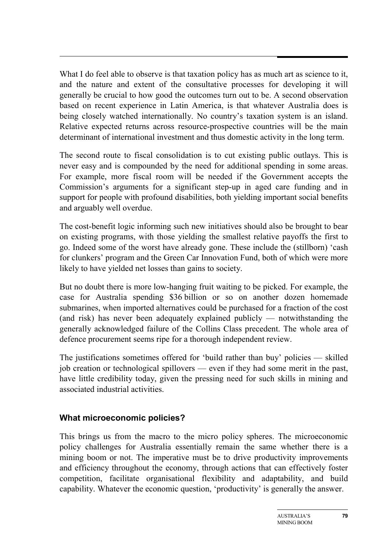What I do feel able to observe is that taxation policy has as much art as science to it, and the nature and extent of the consultative processes for developing it will generally be crucial to how good the outcomes turn out to be. A second observation based on recent experience in Latin America, is that whatever Australia does is being closely watched internationally. No country's taxation system is an island. Relative expected returns across resource-prospective countries will be the main determinant of international investment and thus domestic activity in the long term.

The second route to fiscal consolidation is to cut existing public outlays. This is never easy and is compounded by the need for additional spending in some areas. For example, more fiscal room will be needed if the Government accepts the Commission's arguments for a significant step-up in aged care funding and in support for people with profound disabilities, both yielding important social benefits and arguably well overdue.

The cost-benefit logic informing such new initiatives should also be brought to bear on existing programs, with those yielding the smallest relative payoffs the first to go. Indeed some of the worst have already gone. These include the (stillborn) 'cash for clunkers' program and the Green Car Innovation Fund, both of which were more likely to have yielded net losses than gains to society.

But no doubt there is more low-hanging fruit waiting to be picked. For example, the case for Australia spending \$36 billion or so on another dozen homemade submarines, when imported alternatives could be purchased for a fraction of the cost (and risk) has never been adequately explained publicly — notwithstanding the generally acknowledged failure of the Collins Class precedent. The whole area of defence procurement seems ripe for a thorough independent review.

The justifications sometimes offered for 'build rather than buy' policies — skilled job creation or technological spillovers — even if they had some merit in the past, have little credibility today, given the pressing need for such skills in mining and associated industrial activities.

## **What microeconomic policies?**

This brings us from the macro to the micro policy spheres. The microeconomic policy challenges for Australia essentially remain the same whether there is a mining boom or not. The imperative must be to drive productivity improvements and efficiency throughout the economy, through actions that can effectively foster competition, facilitate organisational flexibility and adaptability, and build capability. Whatever the economic question, 'productivity' is generally the answer.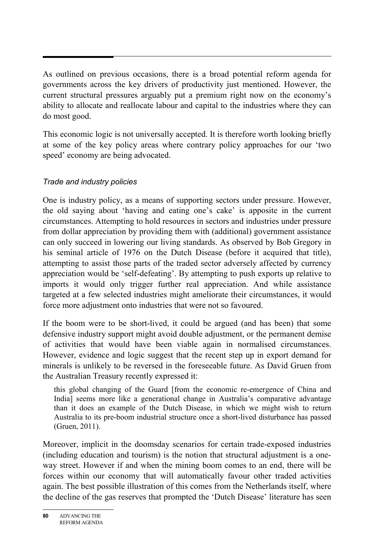As outlined on previous occasions, there is a broad potential reform agenda for governments across the key drivers of productivity just mentioned. However, the current structural pressures arguably put a premium right now on the economy's ability to allocate and reallocate labour and capital to the industries where they can do most good.

This economic logic is not universally accepted. It is therefore worth looking briefly at some of the key policy areas where contrary policy approaches for our 'two speed' economy are being advocated.

# *Trade and industry policies*

One is industry policy, as a means of supporting sectors under pressure. However, the old saying about 'having and eating one's cake' is apposite in the current circumstances. Attempting to hold resources in sectors and industries under pressure from dollar appreciation by providing them with (additional) government assistance can only succeed in lowering our living standards. As observed by Bob Gregory in his seminal article of 1976 on the Dutch Disease (before it acquired that title), attempting to assist those parts of the traded sector adversely affected by currency appreciation would be 'self-defeating'. By attempting to push exports up relative to imports it would only trigger further real appreciation. And while assistance targeted at a few selected industries might ameliorate their circumstances, it would force more adjustment onto industries that were not so favoured.

If the boom were to be short-lived, it could be argued (and has been) that some defensive industry support might avoid double adjustment, or the permanent demise of activities that would have been viable again in normalised circumstances. However, evidence and logic suggest that the recent step up in export demand for minerals is unlikely to be reversed in the foreseeable future. As David Gruen from the Australian Treasury recently expressed it:

this global changing of the Guard [from the economic re-emergence of China and India] seems more like a generational change in Australia's comparative advantage than it does an example of the Dutch Disease, in which we might wish to return Australia to its pre-boom industrial structure once a short-lived disturbance has passed (Gruen, 2011).

Moreover, implicit in the doomsday scenarios for certain trade-exposed industries (including education and tourism) is the notion that structural adjustment is a oneway street. However if and when the mining boom comes to an end, there will be forces within our economy that will automatically favour other traded activities again. The best possible illustration of this comes from the Netherlands itself, where the decline of the gas reserves that prompted the 'Dutch Disease' literature has seen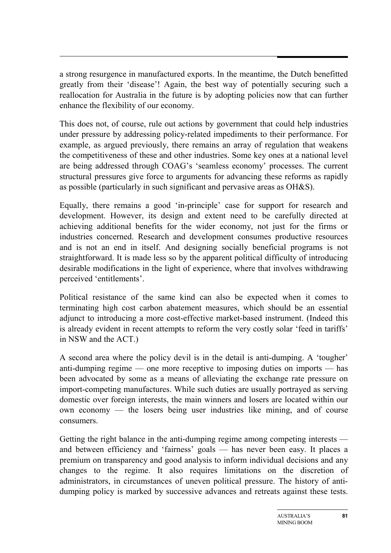a strong resurgence in manufactured exports. In the meantime, the Dutch benefitted greatly from their 'disease'! Again, the best way of potentially securing such a reallocation for Australia in the future is by adopting policies now that can further enhance the flexibility of our economy.

This does not, of course, rule out actions by government that could help industries under pressure by addressing policy-related impediments to their performance. For example, as argued previously, there remains an array of regulation that weakens the competitiveness of these and other industries. Some key ones at a national level are being addressed through COAG's 'seamless economy' processes. The current structural pressures give force to arguments for advancing these reforms as rapidly as possible (particularly in such significant and pervasive areas as OH&S).

Equally, there remains a good 'in-principle' case for support for research and development. However, its design and extent need to be carefully directed at achieving additional benefits for the wider economy, not just for the firms or industries concerned. Research and development consumes productive resources and is not an end in itself. And designing socially beneficial programs is not straightforward. It is made less so by the apparent political difficulty of introducing desirable modifications in the light of experience, where that involves withdrawing perceived 'entitlements'.

Political resistance of the same kind can also be expected when it comes to terminating high cost carbon abatement measures, which should be an essential adjunct to introducing a more cost-effective market-based instrument. (Indeed this is already evident in recent attempts to reform the very costly solar 'feed in tariffs' in NSW and the ACT.)

A second area where the policy devil is in the detail is anti-dumping. A 'tougher' anti-dumping regime — one more receptive to imposing duties on imports — has been advocated by some as a means of alleviating the exchange rate pressure on import-competing manufactures. While such duties are usually portrayed as serving domestic over foreign interests, the main winners and losers are located within our own economy — the losers being user industries like mining, and of course consumers.

Getting the right balance in the anti-dumping regime among competing interests and between efficiency and 'fairness' goals — has never been easy. It places a premium on transparency and good analysis to inform individual decisions and any changes to the regime. It also requires limitations on the discretion of administrators, in circumstances of uneven political pressure. The history of antidumping policy is marked by successive advances and retreats against these tests.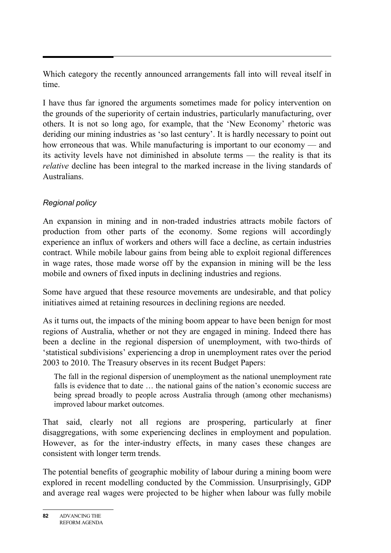Which category the recently announced arrangements fall into will reveal itself in time.

I have thus far ignored the arguments sometimes made for policy intervention on the grounds of the superiority of certain industries, particularly manufacturing, over others. It is not so long ago, for example, that the 'New Economy' rhetoric was deriding our mining industries as 'so last century'. It is hardly necessary to point out how erroneous that was. While manufacturing is important to our economy — and its activity levels have not diminished in absolute terms — the reality is that its *relative* decline has been integral to the marked increase in the living standards of Australians.

# *Regional policy*

An expansion in mining and in non-traded industries attracts mobile factors of production from other parts of the economy. Some regions will accordingly experience an influx of workers and others will face a decline, as certain industries contract. While mobile labour gains from being able to exploit regional differences in wage rates, those made worse off by the expansion in mining will be the less mobile and owners of fixed inputs in declining industries and regions.

Some have argued that these resource movements are undesirable, and that policy initiatives aimed at retaining resources in declining regions are needed.

As it turns out, the impacts of the mining boom appear to have been benign for most regions of Australia, whether or not they are engaged in mining. Indeed there has been a decline in the regional dispersion of unemployment, with two-thirds of 'statistical subdivisions' experiencing a drop in unemployment rates over the period 2003 to 2010. The Treasury observes in its recent Budget Papers:

The fall in the regional dispersion of unemployment as the national unemployment rate falls is evidence that to date ... the national gains of the nation's economic success are being spread broadly to people across Australia through (among other mechanisms) improved labour market outcomes.

That said, clearly not all regions are prospering, particularly at finer disaggregations, with some experiencing declines in employment and population. However, as for the inter-industry effects, in many cases these changes are consistent with longer term trends.

The potential benefits of geographic mobility of labour during a mining boom were explored in recent modelling conducted by the Commission. Unsurprisingly, GDP and average real wages were projected to be higher when labour was fully mobile

**<sup>82</sup>** ADVANCING THE REFORM AGENDA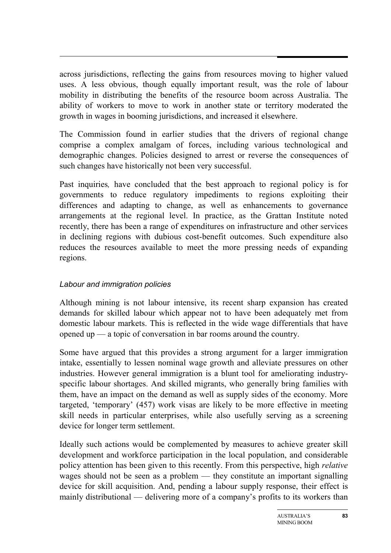across jurisdictions, reflecting the gains from resources moving to higher valued uses. A less obvious, though equally important result, was the role of labour mobility in distributing the benefits of the resource boom across Australia. The ability of workers to move to work in another state or territory moderated the growth in wages in booming jurisdictions, and increased it elsewhere.

The Commission found in earlier studies that the drivers of regional change comprise a complex amalgam of forces, including various technological and demographic changes. Policies designed to arrest or reverse the consequences of such changes have historically not been very successful.

Past inquiries*,* have concluded that the best approach to regional policy is for governments to reduce regulatory impediments to regions exploiting their differences and adapting to change, as well as enhancements to governance arrangements at the regional level. In practice, as the Grattan Institute noted recently, there has been a range of expenditures on infrastructure and other services in declining regions with dubious cost-benefit outcomes. Such expenditure also reduces the resources available to meet the more pressing needs of expanding regions.

## *Labour and immigration policies*

Although mining is not labour intensive, its recent sharp expansion has created demands for skilled labour which appear not to have been adequately met from domestic labour markets. This is reflected in the wide wage differentials that have opened up — a topic of conversation in bar rooms around the country.

Some have argued that this provides a strong argument for a larger immigration intake, essentially to lessen nominal wage growth and alleviate pressures on other industries. However general immigration is a blunt tool for ameliorating industryspecific labour shortages. And skilled migrants, who generally bring families with them, have an impact on the demand as well as supply sides of the economy. More targeted, 'temporary' (457) work visas are likely to be more effective in meeting skill needs in particular enterprises, while also usefully serving as a screening device for longer term settlement.

Ideally such actions would be complemented by measures to achieve greater skill development and workforce participation in the local population, and considerable policy attention has been given to this recently. From this perspective, high *relative* wages should not be seen as a problem — they constitute an important signalling device for skill acquisition. And, pending a labour supply response, their effect is mainly distributional — delivering more of a company's profits to its workers than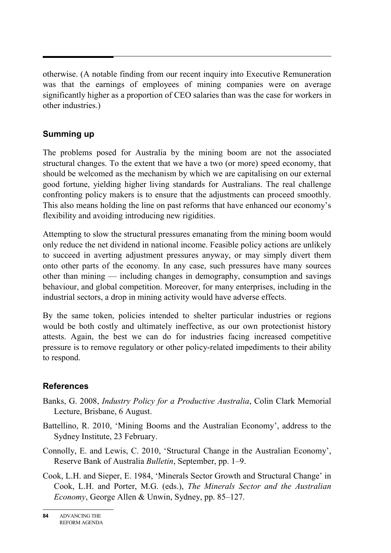otherwise. (A notable finding from our recent inquiry into Executive Remuneration was that the earnings of employees of mining companies were on average significantly higher as a proportion of CEO salaries than was the case for workers in other industries.)

# **Summing up**

The problems posed for Australia by the mining boom are not the associated structural changes. To the extent that we have a two (or more) speed economy, that should be welcomed as the mechanism by which we are capitalising on our external good fortune, yielding higher living standards for Australians. The real challenge confronting policy makers is to ensure that the adjustments can proceed smoothly. This also means holding the line on past reforms that have enhanced our economy's flexibility and avoiding introducing new rigidities.

Attempting to slow the structural pressures emanating from the mining boom would only reduce the net dividend in national income. Feasible policy actions are unlikely to succeed in averting adjustment pressures anyway, or may simply divert them onto other parts of the economy. In any case, such pressures have many sources other than mining — including changes in demography, consumption and savings behaviour, and global competition. Moreover, for many enterprises, including in the industrial sectors, a drop in mining activity would have adverse effects.

By the same token, policies intended to shelter particular industries or regions would be both costly and ultimately ineffective, as our own protectionist history attests. Again, the best we can do for industries facing increased competitive pressure is to remove regulatory or other policy-related impediments to their ability to respond.

# **References**

- Banks, G. 2008, *Industry Policy for a Productive Australia*, Colin Clark Memorial Lecture, Brisbane, 6 August.
- Battellino, R. 2010, 'Mining Booms and the Australian Economy', address to the Sydney Institute, 23 February.
- Connolly, E. and Lewis, C. 2010, 'Structural Change in the Australian Economy', Reserve Bank of Australia *Bulletin*, September, pp. 1–9.
- Cook, L.H. and Sieper, E. 1984, 'Minerals Sector Growth and Structural Change' in Cook, L.H. and Porter, M.G. (eds.), *The Minerals Sector and the Australian Economy*, George Allen & Unwin, Sydney, pp. 85–127.